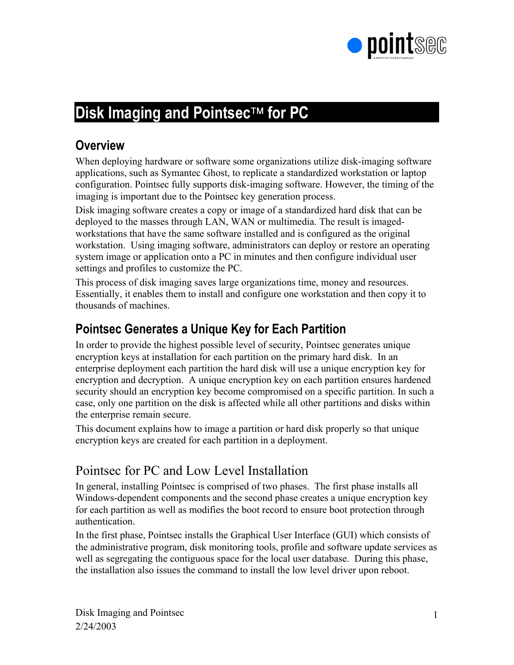

# **Disk Imaging and Pointsec<sup>™</sup> for PC**

### **Overview**

When deploying hardware or software some organizations utilize disk-imaging software applications, such as Symantec Ghost, to replicate a standardized workstation or laptop configuration. Pointsec fully supports disk-imaging software. However, the timing of the imaging is important due to the Pointsec key generation process.

Disk imaging software creates a copy or image of a standardized hard disk that can be deployed to the masses through LAN, WAN or multimedia. The result is imagedworkstations that have the same software installed and is configured as the original workstation. Using imaging software, administrators can deploy or restore an operating system image or application onto a PC in minutes and then configure individual user settings and profiles to customize the PC.

This process of disk imaging saves large organizations time, money and resources. Essentially, it enables them to install and configure one workstation and then copy it to thousands of machines.

### **Pointsec Generates a Unique Key for Each Partition**

In order to provide the highest possible level of security, Pointsec generates unique encryption keys at installation for each partition on the primary hard disk. In an enterprise deployment each partition the hard disk will use a unique encryption key for encryption and decryption. A unique encryption key on each partition ensures hardened security should an encryption key become compromised on a specific partition. In such a case, only one partition on the disk is affected while all other partitions and disks within the enterprise remain secure.

This document explains how to image a partition or hard disk properly so that unique encryption keys are created for each partition in a deployment.

## Pointsec for PC and Low Level Installation

In general, installing Pointsec is comprised of two phases. The first phase installs all Windows-dependent components and the second phase creates a unique encryption key for each partition as well as modifies the boot record to ensure boot protection through authentication.

In the first phase, Pointsec installs the Graphical User Interface (GUI) which consists of the administrative program, disk monitoring tools, profile and software update services as well as segregating the contiguous space for the local user database. During this phase, the installation also issues the command to install the low level driver upon reboot.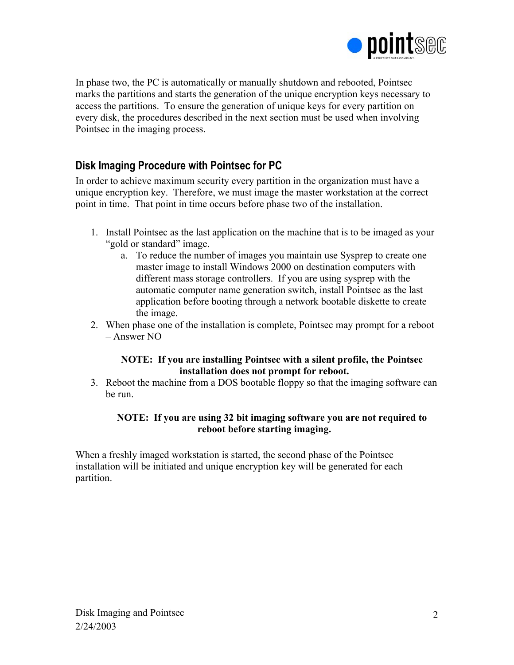

In phase two, the PC is automatically or manually shutdown and rebooted, Pointsec marks the partitions and starts the generation of the unique encryption keys necessary to access the partitions. To ensure the generation of unique keys for every partition on every disk, the procedures described in the next section must be used when involving Pointsec in the imaging process.

### **Disk Imaging Procedure with Pointsec for PC**

In order to achieve maximum security every partition in the organization must have a unique encryption key. Therefore, we must image the master workstation at the correct point in time. That point in time occurs before phase two of the installation.

- 1. Install Pointsec as the last application on the machine that is to be imaged as your "gold or standard" image.
	- a. To reduce the number of images you maintain use Sysprep to create one master image to install Windows 2000 on destination computers with different mass storage controllers. If you are using sysprep with the automatic computer name generation switch, install Pointsec as the last application before booting through a network bootable diskette to create the image.
- 2. When phase one of the installation is complete, Pointsec may prompt for a reboot – Answer NO

#### **NOTE: If you are installing Pointsec with a silent profile, the Pointsec installation does not prompt for reboot.**

3. Reboot the machine from a DOS bootable floppy so that the imaging software can be run.

#### **NOTE: If you are using 32 bit imaging software you are not required to reboot before starting imaging.**

When a freshly imaged workstation is started, the second phase of the Pointsec installation will be initiated and unique encryption key will be generated for each partition.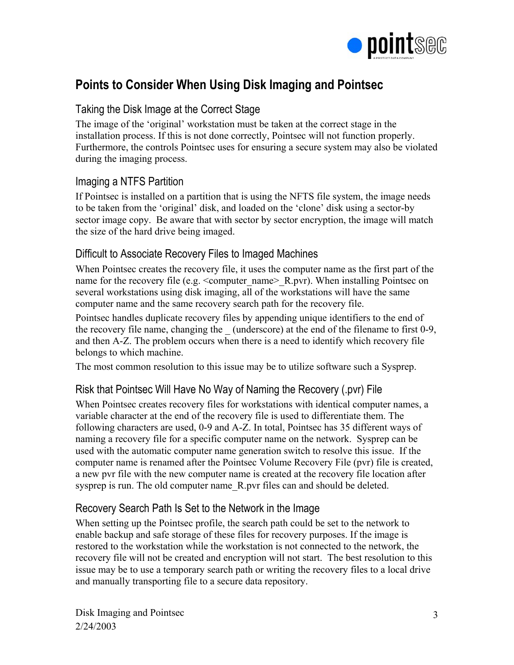

## **Points to Consider When Using Disk Imaging and Pointsec**

### Taking the Disk Image at the Correct Stage

The image of the 'original' workstation must be taken at the correct stage in the installation process. If this is not done correctly, Pointsec will not function properly. Furthermore, the controls Pointsec uses for ensuring a secure system may also be violated during the imaging process.

### Imaging a NTFS Partition

If Pointsec is installed on a partition that is using the NFTS file system, the image needs to be taken from the 'original' disk, and loaded on the 'clone' disk using a sector-by sector image copy. Be aware that with sector by sector encryption, the image will match the size of the hard drive being imaged.

### Difficult to Associate Recovery Files to Imaged Machines

When Pointsec creates the recovery file, it uses the computer name as the first part of the name for the recovery file (e.g.  $\leq$ computer name $\geq R$ .pvr). When installing Pointsec on several workstations using disk imaging, all of the workstations will have the same computer name and the same recovery search path for the recovery file.

Pointsec handles duplicate recovery files by appending unique identifiers to the end of the recovery file name, changing the (underscore) at the end of the filename to first 0-9, and then A-Z. The problem occurs when there is a need to identify which recovery file belongs to which machine.

The most common resolution to this issue may be to utilize software such a Sysprep.

### Risk that Pointsec Will Have No Way of Naming the Recovery (.pvr) File

When Pointsec creates recovery files for workstations with identical computer names, a variable character at the end of the recovery file is used to differentiate them. The following characters are used, 0-9 and A-Z. In total, Pointsec has 35 different ways of naming a recovery file for a specific computer name on the network. Sysprep can be used with the automatic computer name generation switch to resolve this issue. If the computer name is renamed after the Pointsec Volume Recovery File (pvr) file is created, a new pvr file with the new computer name is created at the recovery file location after sysprep is run. The old computer name R.pvr files can and should be deleted.

### Recovery Search Path Is Set to the Network in the Image

When setting up the Pointsec profile, the search path could be set to the network to enable backup and safe storage of these files for recovery purposes. If the image is restored to the workstation while the workstation is not connected to the network, the recovery file will not be created and encryption will not start. The best resolution to this issue may be to use a temporary search path or writing the recovery files to a local drive and manually transporting file to a secure data repository.